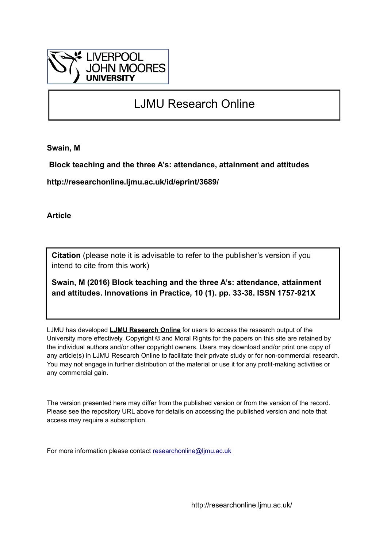

## LJMU Research Online

**Swain, M**

 **Block teaching and the three A's: attendance, attainment and attitudes**

**http://researchonline.ljmu.ac.uk/id/eprint/3689/**

**Article**

**Citation** (please note it is advisable to refer to the publisher's version if you intend to cite from this work)

**Swain, M (2016) Block teaching and the three A's: attendance, attainment and attitudes. Innovations in Practice, 10 (1). pp. 33-38. ISSN 1757-921X** 

LJMU has developed **[LJMU Research Online](http://researchonline.ljmu.ac.uk/)** for users to access the research output of the University more effectively. Copyright © and Moral Rights for the papers on this site are retained by the individual authors and/or other copyright owners. Users may download and/or print one copy of any article(s) in LJMU Research Online to facilitate their private study or for non-commercial research. You may not engage in further distribution of the material or use it for any profit-making activities or any commercial gain.

The version presented here may differ from the published version or from the version of the record. Please see the repository URL above for details on accessing the published version and note that access may require a subscription.

For more information please contact [researchonline@ljmu.ac.uk](mailto:researchonline@ljmu.ac.uk)

http://researchonline.ljmu.ac.uk/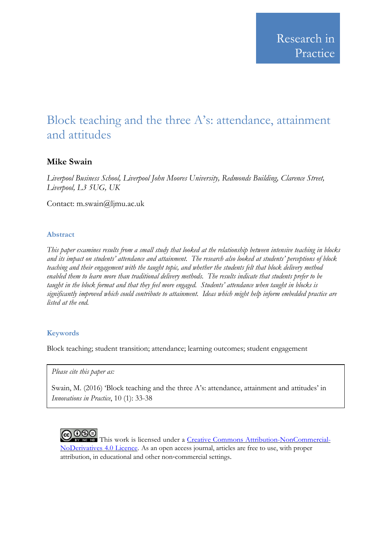# Block teaching and the three A's: attendance, attainment and attitudes

## **Mike Swain**

*Liverpool Business School, Liverpool John Moores University, Redmonds Building, Clarence Street, Liverpool, L3 5UG, UK*

Contact: m.swain@ljmu.ac.uk

## **Abstract**

*This paper examines results from a small study that looked at the relationship between intensive teaching in blocks and its impact on students' attendance and attainment. The research also looked at students' perceptions of block teaching and their engagement with the taught topic, and whether the students felt that block delivery method enabled them to learn more than traditional delivery methods. The results indicate that students prefer to be taught in the block format and that they feel more engaged. Students' attendance when taught in blocks is significantly improved which could contribute to attainment. Ideas which might help inform embedded practice are listed at the end.*

## **Keywords**

Block teaching; student transition; attendance; learning outcomes; student engagement

*Please cite this paper as:*

Swain, M. (2016) 'Block teaching and the three A's: attendance, attainment and attitudes' in *Innovations in Practice*, 10 (1): 33-38



This work is licensed under a Creative Commons [Attribution-NonCommercial-](http://creativecommons.org/licenses/by-nc-nd/4.0/)[NoDerivatives](http://creativecommons.org/licenses/by-nc-nd/4.0/) 4.0 Licence. As an open access journal, articles are free to use, with proper attribution, in educational and other non‐commercial settings.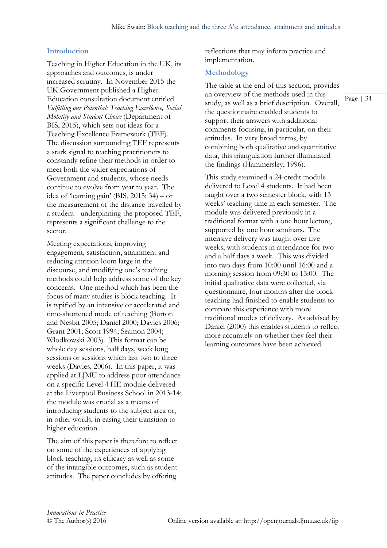#### **Introduction**

Teaching in Higher Education in the UK, its approaches and outcomes, is under increased scrutiny. In November 2015 the UK Government published a Higher Education consultation document entitled *Fulfilling our Potential: Teaching Excellence, Social Mobility and Student Choice* (Department of BIS, 2015), which sets out ideas for a Teaching Excellence Framework (TEF). The discussion surrounding TEF represents a stark signal to teaching practitioners to constantly refine their methods in order to meet both the wider expectations of Government and students, whose needs continue to evolve from year to year. The idea of 'learning gain' (BIS,  $2015: 34$ ) – or the measurement of the distance travelled by a student - underpinning the proposed TEF, represents a significant challenge to the sector.

Meeting expectations, improving engagement, satisfaction, attainment and reducing attrition loom large in the discourse, and modifying one's teaching methods could help address some of the key concerns. One method which has been the focus of many studies is block teaching. It is typified by an intensive or accelerated and time-shortened mode of teaching (Burton and Nesbit 2005; Daniel 2000; Davies 2006; Grant 2001; Scott 1994; Seamon 2004; Wlodkowski 2003). This format can be whole day sessions, half days, week long sessions or sessions which last two to three weeks (Davies, 2006). In this paper, it was applied at LJMU to address poor attendance on a specific Level 4 HE module delivered at the Liverpool Business School in 2013-14; the module was crucial as a means of introducing students to the subject area or, in other words, in easing their transition to higher education.

The aim of this paper is therefore to reflect on some of the experiences of applying block teaching, its efficacy as well as some of the intangible outcomes, such as student attitudes. The paper concludes by offering

reflections that may inform practice and implementation.

#### **Methodology**

The table at the end of this section, provides an overview of the methods used in this study, as well as a brief description. Overall, the questionnaire enabled students to support their answers with additional comments focusing, in particular, on their attitudes. In very broad terms, by combining both qualitative and quantitative data, this triangulation further illuminated the findings (Hammersley, 1996).

Page | 34

This study examined a 24-credit module delivered to Level 4 students. It had been taught over a two semester block, with 13 weeks' teaching time in each semester. The module was delivered previously in a traditional format with a one hour lecture, supported by one hour seminars. The intensive delivery was taught over five weeks, with students in attendance for two and a half days a week. This was divided into two days from 10:00 until 16:00 and a morning session from 09:30 to 13:00. The initial qualitative data were collected, via questionnaire, four months after the block teaching had finished to enable students to compare this experience with more traditional modes of delivery. As advised by Daniel (2000) this enables students to reflect more accurately on whether they feel their learning outcomes have been achieved.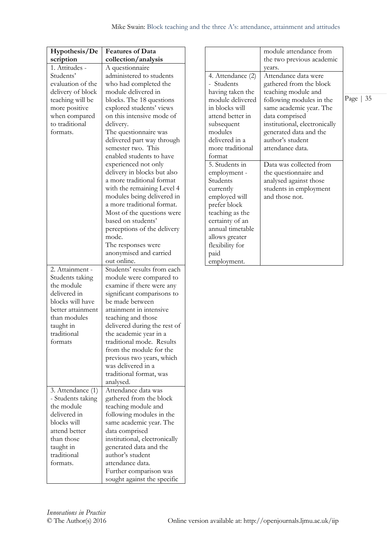| Hypothesis/De     | <b>Features of Data</b>       |
|-------------------|-------------------------------|
| scription         | collection/analysis           |
| 1. Attitudes -    | A questionnaire               |
| Students'         | administered to students      |
| evaluation of the | who had completed the         |
| delivery of block | module delivered in           |
| teaching will be  | blocks. The 18 questions      |
| more positive     | explored students' views      |
| when compared     | on this intensive mode of     |
| to traditional    | delivery.                     |
| formats.          | The questionnaire was         |
|                   | delivered part way through    |
|                   | semester two. This            |
|                   | enabled students to have      |
|                   | experienced not only          |
|                   | delivery in blocks but also   |
|                   | a more traditional format     |
|                   | with the remaining Level 4    |
|                   | modules being delivered in    |
|                   | a more traditional format.    |
|                   | Most of the questions were    |
|                   | based on students'            |
|                   | perceptions of the delivery   |
|                   | mode.                         |
|                   | The responses were            |
|                   | anonymised and carried        |
|                   | out online.                   |
| 2. Attainment -   | Students' results from each   |
| Students taking   | module were compared to       |
| the module        | examine if there were any     |
| delivered in      | significant comparisons to    |
| blocks will have  | be made between               |
| better attainment | attainment in intensive       |
| than modules      | teaching and those            |
| taught in         | delivered during the rest of  |
| traditional       | the academic year in a        |
| formats           | traditional mode. Results     |
|                   | from the module for the       |
|                   | previous two years, which     |
|                   | was delivered in a            |
|                   | traditional format, was       |
|                   | analysed.                     |
| 3. Attendance (1) | Attendance data was           |
| - Students taking | gathered from the block       |
| the module        | teaching module and           |
| delivered in      | following modules in the      |
| blocks will       | same academic year. The       |
| attend better     | data comprised                |
| than those        | institutional, electronically |
| taught in         | generated data and the        |
| traditional       | author's student              |
| formats.          | attendance data.              |
|                   | Further comparison was        |
|                   | sought against the specific   |

|                   | module attendance from        |            |
|-------------------|-------------------------------|------------|
|                   | the two previous academic     |            |
|                   | vears.                        |            |
| 4. Attendance (2) | Attendance data were          |            |
| - Students        | gathered from the block       |            |
| having taken the  | teaching module and           |            |
| module delivered  | following modules in the      | Page $ 35$ |
| in blocks will    | same academic year. The       |            |
| attend better in  | data comprised                |            |
| subsequent        | institutional, electronically |            |
| modules           | generated data and the        |            |
| delivered in a    | author's student              |            |
| more traditional  | attendance data.              |            |
| format            |                               |            |
| 5. Students in    | Data was collected from       |            |
| employment -      | the questionnaire and         |            |
| Students          | analysed against those        |            |
| currently         | students in employment        |            |
| employed will     | and those not.                |            |
| prefer block      |                               |            |
| teaching as the   |                               |            |
| certainty of an   |                               |            |
| annual timetable  |                               |            |
| allows greater    |                               |            |
| flexibility for   |                               |            |
| paid              |                               |            |
| employment.       |                               |            |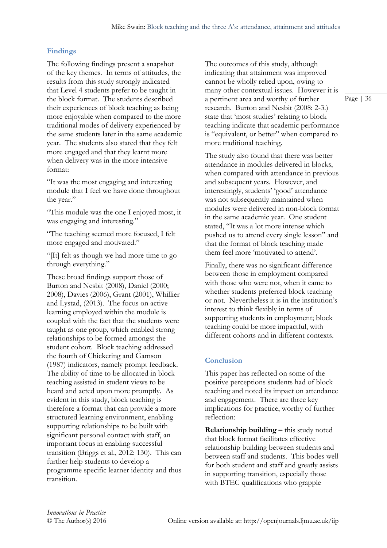#### **Findings**

The following findings present a snapshot of the key themes. In terms of attitudes, the results from this study strongly indicated that Level 4 students prefer to be taught in the block format. The students described their experiences of block teaching as being more enjoyable when compared to the more traditional modes of delivery experienced by the same students later in the same academic year. The students also stated that they felt more engaged and that they learnt more when delivery was in the more intensive format:

"It was the most engaging and interesting module that I feel we have done throughout the year."

"This module was the one I enjoyed most, it was engaging and interesting."

"The teaching seemed more focused, I felt more engaged and motivated."

"[It] felt as though we had more time to go through everything."

These broad findings support those of Burton and Nesbit (2008), Daniel (2000; 2008), Davies (2006), Grant (2001), Whillier and Lystad, (2013). The focus on active learning employed within the module is coupled with the fact that the students were taught as one group, which enabled strong relationships to be formed amongst the student cohort. Block teaching addressed the fourth of Chickering and Gamson (1987) indicators, namely prompt feedback. The ability of time to be allocated in block teaching assisted in student views to be heard and acted upon more promptly. As evident in this study, block teaching is therefore a format that can provide a more structured learning environment, enabling supporting relationships to be built with significant personal contact with staff, an important focus in enabling successful transition (Briggs et al., 2012: 130). This can further help students to develop a programme specific learner identity and thus transition.

The outcomes of this study, although indicating that attainment was improved cannot be wholly relied upon, owing to many other contextual issues. However it is a pertinent area and worthy of further research. Burton and Nesbit (2008: 2-3.) state that 'most studies' relating to block teaching indicate that academic performance is "equivalent, or better" when compared to more traditional teaching.

The study also found that there was better attendance in modules delivered in blocks, when compared with attendance in previous and subsequent years. However, and interestingly, students' 'good' attendance was not subsequently maintained when modules were delivered in non-block format in the same academic year. One student stated, "It was a lot more intense which pushed us to attend every single lesson" and that the format of block teaching made them feel more 'motivated to attend'.

Finally, there was no significant difference between those in employment compared with those who were not, when it came to whether students preferred block teaching or not. Nevertheless it is in the institution's interest to think flexibly in terms of supporting students in employment; block teaching could be more impactful, with different cohorts and in different contexts.

#### **Conclusion**

This paper has reflected on some of the positive perceptions students had of block teaching and noted its impact on attendance and engagement. There are three key implications for practice, worthy of further reflection:

**Relationship building –** this study noted that block format facilitates effective relationship building between students and between staff and students. This bodes well for both student and staff and greatly assists in supporting transition, especially those with BTEC qualifications who grapple

Page | 36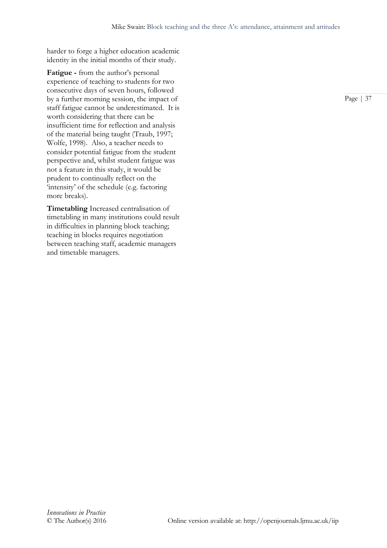harder to forge a higher education academic identity in the initial months of their study.

**Fatigue -** from the author's personal experience of teaching to students for two consecutive days of seven hours, followed by a further morning session, the impact of staff fatigue cannot be underestimated. It is worth considering that there can be insufficient time for reflection and analysis of the material being taught (Traub, 1997; Wolfe, 1998). Also, a teacher needs to consider potential fatigue from the student perspective and, whilst student fatigue was not a feature in this study, it would be prudent to continually reflect on the 'intensity' of the schedule (e.g. factoring more breaks).

**Timetabling** Increased centralisation of timetabling in many institutions could result in difficulties in planning block teaching; teaching in blocks requires negotiation between teaching staff, academic managers and timetable managers.

Page | 37